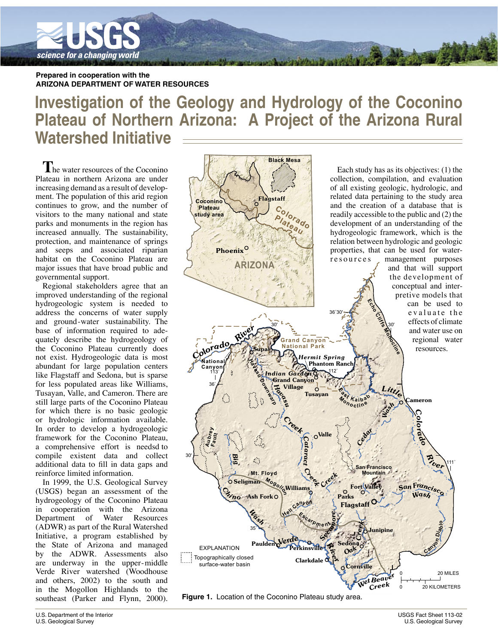

Prepared in cooperation with the **ARIZONA DEPARTMENT OF WATER RESOURCES** 

# Investigation of the Geology and Hydrology of the Coconino Plateau of Northern Arizona: A Project of the Arizona Rural **Watershed Initiative**

he water resources of the Coconino Plateau in northern Arizona are under increasing demand as a result of development. The population of this arid region continues to grow, and the number of visitors to the many national and state parks and monuments in the region has increased annually. The sustainability, protection, and maintenance of springs and seeps and associated riparian habitat on the Coconino Plateau are major issues that have broad public and governmental support.

Regional stakeholders agree that an improved understanding of the regional hydrogeologic system is needed to address the concerns of water supply and ground-water sustainability. The base of information required to adequately describe the hydrogeology of the Coconino Plateau currently does not exist. Hydrogeologic data is most abundant for large population centers like Flagstaff and Sedona, but is sparse for less populated areas like Williams, Tusayan, Valle, and Cameron. There are still large parts of the Coconino Plateau for which there is no basic geologic or hydrologic information available. In order to develop a hydrogeologic framework for the Coconino Plateau, a comprehensive effort is needsd to compile existent data and collect additional data to fill in data gaps and reinforce limited information.

In 1999, the U.S. Geological Survey (USGS) began an assessment of the hydrogeology of the Coconino Plateau in cooperation with the Arizona Department of Water Resources (ADWR) as part of the Rural Watershed Initiative, a program established by the State of Arizona and managed by the ADWR. Assessments also are underway in the upper-middle Verde River watershed (Woodhouse and others, 2002) to the south and in the Mogollon Highlands to the southeast (Parker and Flynn, 2000).



Figure 1. Location of the Coconino Plateau study area.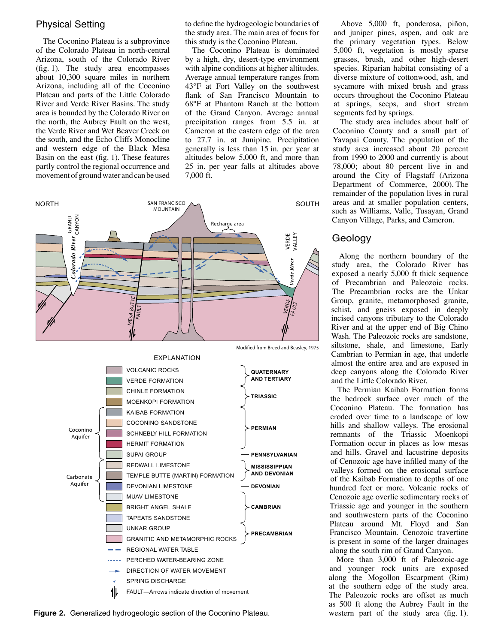#### **Physical Setting**

The Coconino Plateau is a subprovince of the Colorado Plateau in north-central Arizona, south of the Colorado River  $(f_1g_1)$ . The study area encompasses about 10,300 square miles in northern Arizona, including all of the Coconino Plateau and parts of the Little Colorado River and Verde River Basins. The study area is bounded by the Colorado River on the north, the Aubrey Fault on the west, the Verde River and Wet Beaver Creek on the south, and the Echo Cliffs Monocline and western edge of the Black Mesa Basin on the east (fig. 1). These features partly control the regional occurrence and movement of ground water and can be used to define the hydrogeologic boundaries of the study area. The main area of focus for this study is the Coconino Plateau.

The Coconino Plateau is dominated by a high, dry, desert-type environment with alpine conditions at higher altitudes. Average annual temperature ranges from 43°F at Fort Valley on the southwest flank of San Francisco Mountain to 68°F at Phantom Ranch at the bottom of the Grand Canyon. Average annual precipitation ranges from 5.5 in. at Cameron at the eastern edge of the area to 27.7 in. at Junipine. Precipitation generally is less than 15 in. per year at altitudes below 5,000 ft, and more than 25 in. per year falls at altitudes above 7,000 ft.



Figure 2. Generalized hydrogeologic section of the Coconino Plateau.

Above 5,000 ft, ponderosa, piñon, and juniper pines, aspen, and oak are the primary vegetation types. Below 5,000 ft, vegetation is mostly sparse grasses, brush, and other high-desert species. Riparian habitat consisting of a diverse mixture of cottonwood, ash, and sycamore with mixed brush and grass occurs throughout the Coconino Plateau at springs, seeps, and short stream segments fed by springs.

The study area includes about half of Coconino County and a small part of Yavapai County. The population of the study area increased about 20 percent from 1990 to 2000 and currently is about 78,000; about 80 percent live in and around the City of Flagstaff (Arizona Department of Commerce, 2000). The remainder of the population lives in rural areas and at smaller population centers, such as Williams, Valle, Tusayan, Grand Canyon Village, Parks, and Cameron.

## Geology

Along the northern boundary of the study area, the Colorado River has exposed a nearly 5,000 ft thick sequence of Precambrian and Paleozoic rocks. The Precambrian rocks are the Unkar Group, granite, metamorphosed granite, schist, and gneiss exposed in deeply incised canyons tributary to the Colorado River and at the upper end of Big Chino Wash. The Paleozoic rocks are sandstone, siltstone, shale, and limestone, Early Cambrian to Permian in age, that underle almost the entire area and are exposed in deep canyons along the Colorado River and the Little Colorado River.

The Permian Kaibab Formation forms the bedrock surface over much of the Coconino Plateau. The formation has eroded over time to a landscape of low hills and shallow valleys. The erosional remnants of the Triassic Moenkopi Formation occur in places as low mesas and hills. Gravel and lacustrine deposits of Cenozoic age have infilled many of the valleys formed on the erosional surface of the Kaibab Formation to depths of one hundred feet or more. Volcanic rocks of Cenozoic age overlie sedimentary rocks of Triassic age and younger in the southern and southwestern parts of the Coconino Plateau around Mt. Floyd and San Francisco Mountain. Cenozoic travertine is present in some of the larger drainages along the south rim of Grand Canyon.

More than 3,000 ft of Paleozoic-age and younger rock units are exposed along the Mogollon Escarpment (Rim) at the southern edge of the study area. The Paleozoic rocks are offset as much as 500 ft along the Aubrey Fault in the western part of the study area  $(f_1g, 1)$ .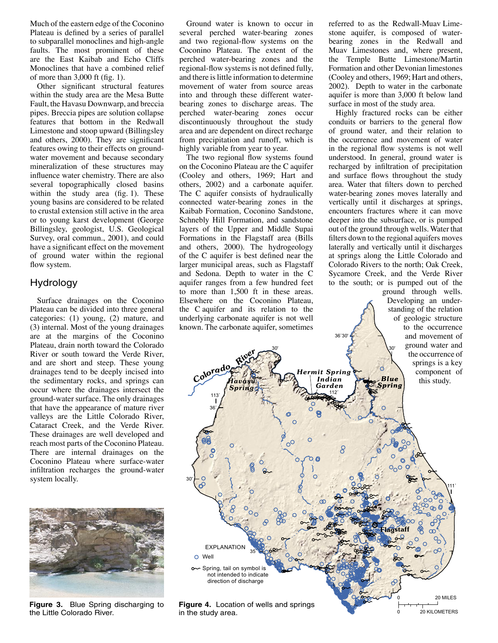Much of the eastern edge of the Coconino Plateau is defined by a series of parallel to subparallel monoclines and high-angle faults. The most prominent of these are the East Kaibab and Echo Cliffs Monoclines that have a combined relief of more than  $3,000$  ft (fig. 1).

Other significant structural features within the study area are the Mesa Butte Fault, the Havasu Downwarp, and breccia pipes. Breccia pipes are solution collapse features that bottom in the Redwall Limestone and stoop upward (Billingsley) and others, 2000). They are significant features owing to their effects on groundwater movement and because secondary mineralization of these structures may influence water chemistry. There are also several topographically closed basins within the study area (fig. 1). These young basins are considered to be related to crustal extension still active in the area or to young karst development (George Billingsley, geologist, U.S. Geological Survey, oral commun., 2001), and could have a significant effect on the movement of ground water within the regional flow system.

# **Hydrology**

Surface drainages on the Coconino Plateau can be divided into three general categories: (1) young, (2) mature, and (3) internal. Most of the young drainages are at the margins of the Coconino Plateau, drain north toward the Colorado River or south toward the Verde River. and are short and steep. These young drainages tend to be deeply incised into the sedimentary rocks, and springs can occur where the drainages intersect the ground-water surface. The only drainages that have the appearance of mature river valleys are the Little Colorado River, Cataract Creek, and the Verde River. These drainages are well developed and reach most parts of the Coconino Plateau. There are internal drainages on the Coconino Plateau where surface-water infiltration recharges the ground-water system locally.



Figure 3. Blue Spring discharging to the Little Colorado River.

Ground water is known to occur in several perched water-bearing zones and two regional-flow systems on the Coconino Plateau. The extent of the perched water-bearing zones and the regional-flow systems is not defined fully, and there is little information to determine movement of water from source areas into and through these different waterbearing zones to discharge areas. The perched water-bearing zones occur discontinuously throughout the study area and are dependent on direct recharge from precipitation and runoff, which is highly variable from year to year.

The two regional flow systems found on the Coconino Plateau are the C aquifer (Cooley and others, 1969; Hart and others, 2002) and a carbonate aquifer. The C aquifer consists of hydraulically connected water-bearing zones in the Kaibab Formation, Coconino Sandstone, Schnebly Hill Formation, and sandstone layers of the Upper and Middle Supai Formations in the Flagstaff area (Bills and others, 2000). The hydrogeology of the C aquifer is best defined near the larger municipal areas, such as Flagstaff and Sedona. Depth to water in the C aquifer ranges from a few hundred feet to more than 1,500 ft in these areas. Elsewhere on the Coconino Plateau. the Caquifer and its relation to the underlying carbonate aquifer is not well known. The carbonate aquifer, sometimes

referred to as the Redwall-Muay Limestone aquifer, is composed of waterbearing zones in the Redwall and Muav Limestones and, where present, the Temple Butte Limestone/Martin Formation and other Devonian limestones (Cooley and others, 1969; Hart and others, 2002). Depth to water in the carbonate aquifer is more than 3,000 ft below land surface in most of the study area.

Highly fractured rocks can be either conduits or barriers to the general flow of ground water, and their relation to the occurrence and movement of water in the regional flow systems is not well understood. In general, ground water is recharged by infiltration of precipitation and surface flows throughout the study area. Water that filters down to perched water-bearing zones moves laterally and vertically until it discharges at springs, encounters fractures where it can move deeper into the subsurface, or is pumped out of the ground through wells. Water that filters down to the regional aquifers moves laterally and vertically until it discharges at springs along the Little Colorado and Colorado Rivers to the north; Oak Creek, Sycamore Creek, and the Verde River to the south; or is pumped out of the

ground through wells. Developing an understanding of the relation of geologic structure to the occurrence and movement of ground water and the occurrence of springs is a key component of

20 KILOMETERS



**Figure 4.** Location of wells and springs in the study area.